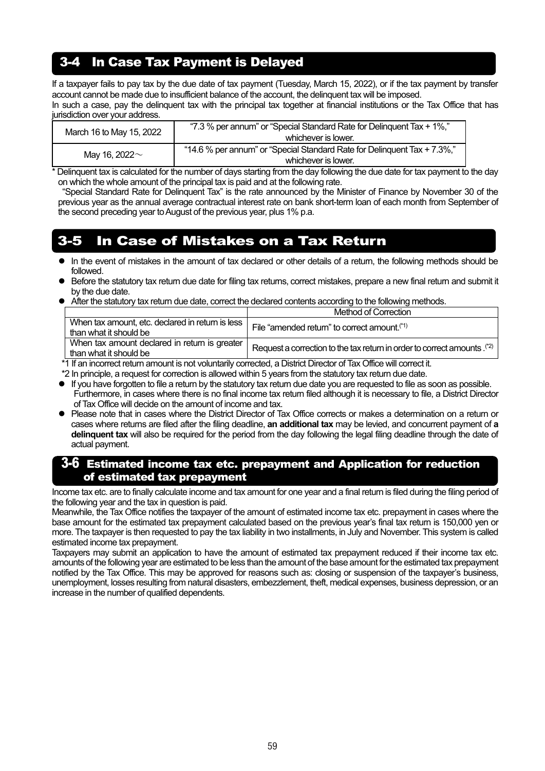## 3-4 In Case Tax Payment is Delayed

If a taxpayer fails to pay tax by the due date of tax payment (Tuesday, March 15, 2022), or if the tax payment by transfer account cannot be made due to insufficient balance of the account, the delinquent tax will be imposed.

In such a case, pay the delinquent tax with the principal tax together at financial institutions or the Tax Office that has jurisdiction over your address.

| March 16 to May 15, 2022 | whichever is lower.                                                                             |
|--------------------------|-------------------------------------------------------------------------------------------------|
| Mav 16. 2022 $\sim$      | "14.6 % per annum" or "Special Standard Rate for Delinguent Tax + 7.3%,"<br>whichever is lower. |

Delinquent tax is calculated for the number of days starting from the day following the due date for tax payment to the day on which the whole amount of the principal tax is paid and at the following rate.

"Special Standard Rate for Delinquent Tax" is the rate announced by the Minister of Finance by November 30 of the previous year as the annual average contractual interest rate on bank short-term loan of each month from September of the second preceding year to August of the previous year, plus 1% p.a.

## 3-5 In Case of Mistakes on a Tax Return

- In the event of mistakes in the amount of tax declared or other details of a return, the following methods should be followed.
- Before the statutory tax return due date for filing tax returns, correct mistakes, prepare a new final return and submit it by the due date.
- After the statutory tax return due date, correct the declared contents according to the following methods.

|                                                                              | Method of Correction                                                      |
|------------------------------------------------------------------------------|---------------------------------------------------------------------------|
| When tax amount, etc. declared in return is less  <br>than what it should be | File "amended return" to correct amount. <sup>(*1)</sup>                  |
| When tax amount declared in return is greater<br>than what it should be      | Request a correction to the tax return in order to correct amounts. $(2)$ |

\*1 If an incorrect return amount is not voluntarily corrected, a District Director of Tax Office will correct it.

\*2 In principle, a request for correction is allowed within 5 years from the statutory tax return due date.

- If you have forgotten to file a return by the statutory tax return due date you are requested to file as soon as possible. Furthermore, in cases where there is no final income tax return filed although it is necessary to file, a District Director of Tax Office will decide on the amount of income and tax.
- Please note that in cases where the District Director of Tax Office corrects or makes a determination on a return or cases where returns are filed after the filing deadline, **an additional tax** may be levied, and concurrent payment of **a delinquent tax** will also be required for the period from the day following the legal filing deadline through the date of actual payment.

## 3-6 Estimated income tax etc. prepayment and Application for reduction of estimated tax prepayment

Income tax etc. are to finally calculate income and tax amount for one year and a final return is filed during the filing period of the following year and the tax in question is paid.

Meanwhile, the Tax Office notifies the taxpayer of the amount of estimated income tax etc. prepayment in cases where the base amount for the estimated tax prepayment calculated based on the previous year's final tax return is 150,000 yen or more. The taxpayer is then requested to pay the tax liability in two installments, in July and November. This system is called estimated income tax prepayment.

Taxpayers may submit an application to have the amount of estimated tax prepayment reduced if their income tax etc. amounts of the following year are estimated to be less than the amount of the base amount for the estimated tax prepayment notified by the Tax Office. This may be approved for reasons such as: closing or suspension of the taxpayer's business, unemployment, losses resulting from natural disasters, embezzlement, theft, medical expenses, business depression, or an increase in the number of qualified dependents.